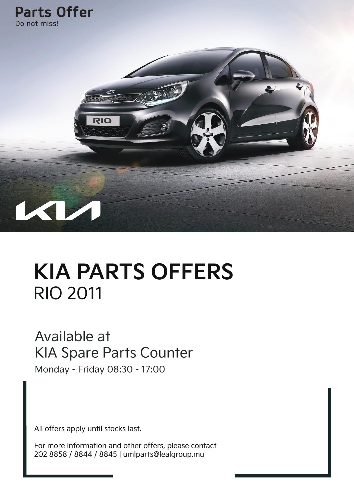

# **KIA PARTS OFFERS** RIO 2011

#### Available at KIA Spare Parts Counter

Monday - Friday 08:30 - 17:00

All offers apply until stocks last.

For more information and other offers, please contact 202 8858 / 8844 / 8845 | umlparts@lealgroup.mu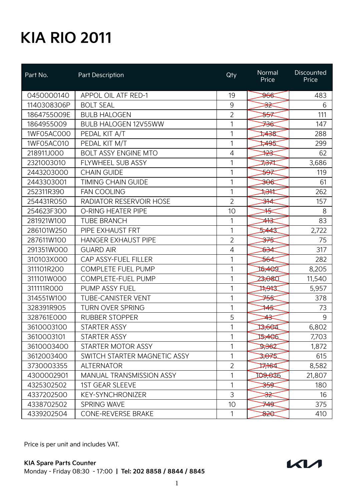| Part No.    | Part Description                | Qty            | Normal<br>Price   | <b>Discounted</b><br>Price |
|-------------|---------------------------------|----------------|-------------------|----------------------------|
| 0450000140  | APPOL OIL ATF RED-1             | 19             | <del>966</del>    | 483                        |
| 1140308306P | <b>BOLT SEAL</b>                | 9              | <del>≾3</del>     | 6                          |
| 1864755009E | <b>BULB HALOGEN</b>             | $\overline{2}$ | <del>≫</del>      | 111                        |
| 1864955009  | <b>BULB HALOGEN 12V55WW</b>     | 1              | <del>⋙</del>      | 147                        |
| 1WF05AC000  | PEDAL KIT A/T                   | 1              | ≠⊰\$              | 288                        |
| 1WF05AC010  | PEDAL KIT M/T                   | 1              | 1495              | 299                        |
| 218911J000  | <b>BOLT ASSY ENGINE MTO</b>     | 4              | ≯≩                | 62                         |
| 2321003010  | FLYWHEEL SUB ASSY               | 1              | ⋡ <del>37</del> 4 | 3,686                      |
| 2443203000  | <b>CHAIN GUIDE</b>              | 1              | <del>≫</del>      | 119                        |
| 2443303001  | <b>TIMING CHAIN GUIDE</b>       | 1              | <del>30€</del>    | 61                         |
| 252311R390  | <b>FAN COOLING</b>              | 1              | ₩                 | 262                        |
| 254431R050  | <b>RADIATOR RESERVOIR HOSE</b>  | $\overline{2}$ | <del>≱∤≰</del>    | 157                        |
| 254623F300  | <b>O-RING HEATER PIPE</b>       | 10             | ╬                 | 8                          |
| 281921W100  | <b>TUBE BRANCH</b>              | 1              | ≄¥                | 83                         |
| 286101W250  | PIPE EXHAUST FRT                | 1              | 57443             | 2,722                      |
| 287611W100  | <b>HANGER EXHAUST PIPE</b>      | $\overline{2}$ | <del>≱∕ક</del>    | 75                         |
| 291351WOOO  | <b>GUARD AIR</b>                | 4              | জ⊰≭               | 317                        |
| 310103X000  | CAP ASSY-FUEL FILLER            | 1              | <del>≫∕</del>     | 282                        |
| 311101R200  | COMPLETE FUEL PUMP              | 1              | 16,400            | 8,205                      |
| 311101W000  | <b>COMPLETE-FUEL PUMP</b>       | 1              | 23,080            | 11,540                     |
| 311111R000  | PUMP ASSY FUEL                  | 1              | 17,943            | 5,957                      |
| 314551W100  | <b>TUBE-CANISTER VENT</b>       | 1              | <del>⋙</del>      | 378                        |
| 328391R905  | <b>TURN OVER SPRING</b>         | 1              | ₩                 | 73                         |
| 328761E000  | <b>RUBBER STOPPER</b>           | 5              | ¥≩                | 9                          |
| 3610003100  | <b>STARTER ASSY</b>             | 1              | 13,604            | 6,802                      |
| 3610003101  | STARTER ASSY                    | 1              | 15,406            | 7,703                      |
| 3610003400  | STARTER MOTOR ASSY              | 1              | 2362              | 1,872                      |
| 3612003400  | SWITCH STARTER MAGNETIC ASSY    | 1              | 3,075             | 615                        |
| 3730003355  | <b>ALTERNATOR</b>               | $\overline{2}$ | 17,164            | 8,582                      |
| 4300002901  | <b>MANUAL TRANSMISSION ASSY</b> | 1              | 109,036           | 21,807                     |
| 4325302502  | <b>1ST GEAR SLEEVE</b>          | $\mathbf{1}$   | ≫द                | 180                        |
| 4337202500  | <b>KEY-SYNCHRONIZER</b>         | 3              | <del>ૐ</del>      | 16                         |
| 4338702502  | <b>SPRING WAVE</b>              | 10             | 749.              | 375                        |
| 4339202504  | CONE-REVERSE BRAKE              | 1              | क्ष्टि            | 410                        |

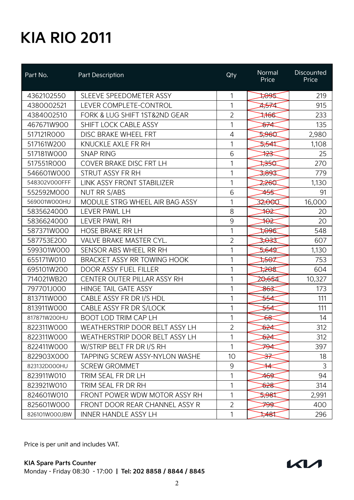| Part No.      | Part Description                      | Qty             | Normal<br>Price   | <b>Discounted</b><br>Price |
|---------------|---------------------------------------|-----------------|-------------------|----------------------------|
| 4362102550    | SLEEVE SPEEDOMETER ASSY               | 1               | 1,095             | 219                        |
| 4380002521    | LEVER COMPLETE-CONTROL                | 1               | <del>4,57</del> 4 | 915                        |
| 4384002510    | FORK & LUG SHIFT 1ST&2ND GEAR         | $\overline{2}$  | 786               | 233                        |
| 467671W900    | SHIFT LOCK CABLE ASSY                 | 1               | ই⊁⊄               | 135                        |
| 517121R000    | DISC BRAKE WHEEL FRT                  | 4               | 2960              | 2,980                      |
| 517161W200    | KNUCKLE AXLE FR RH                    | 1               | ⊅ক্ষ              | 1,108                      |
| 517181W000    | <b>SNAP RING</b>                      | 6               | ₩                 | 25                         |
| 517551R000    | COVER BRAKE DISC FRT LH               | 1               | ≫स्व              | 270                        |
| 546601W000    | STRUT ASSY FR RH                      | 1               | 3,893             | 779                        |
| 548302V000FFF | LINK ASSY FRONT STABILIZER            | 1               | 2260              | 1,130                      |
| 552592M000    | <b>NUT RR S/ABS</b>                   | 6               | <del>45</del> 5   | 91                         |
| 569001W000HU  | MODULE STRG WHEEL AIR BAG ASSY        | 1               | 32,000            | 16,000                     |
| 5835624000    | LEVER PAWL LH                         | 8               | ₩                 | 20                         |
| 5836624000    | LEVER PAWL RH                         | $\mathsf 9$     | ₩                 | 20                         |
| 587371W000    | <b>HOSE BRAKE RR LH</b>               | 1               | 7996              | 548                        |
| 587753E200    | <b>VALVE BRAKE MASTER CYL.</b>        | $\overline{2}$  | ≫ಕಿತ              | 607                        |
| 599301W000    | SENSOR ABS WHEEL RR RH                | 1               | 5,649             | 1,130                      |
| 655171W010    | BRACKET ASSY RR TOWING HOOK           | 1               | ‡ <del>8</del> €⊄ | 753                        |
| 695101W200    | DOOR ASSY FUEL FILLER                 | 1               | ⊅୫୫               | 604                        |
| 714021WB20    | CENTER OUTER PILLAR ASSY RH           | 1               | 20,654            | 10,327                     |
| 797701J000    | <b>HINGE TAIL GATE ASSY</b>           | 1               | ষ্ট               | 173                        |
| 813711W000    | CABLE ASSY FR DR I/S HDL              | 1               | <del>≫∡</del>     | 111                        |
| 813911WOOO    | CABLE ASSY FR DR S/LOCK               | 1               | <del>≫⊀</del>     | 111                        |
| 817871W200HU  | <b>BOOT LOD TRIM CAP LH</b>           | 1               | <del>১৪</del>     | 14                         |
| 822311WOOO    | WEATHERSTRIP DOOR BELT ASSY LH        | $\overline{2}$  | ই≵⊄               | 312                        |
| 822311WOOO    | WEATHERSTRIP DOOR BELT ASSY LH        | 1               | জ≇                | 312                        |
| 822411W000    | W/STRIP BELT FR DR I/S RH             |                 | ⋙                 | 397                        |
| 822903X000    | <b>TAPPING SCREW ASSY-NYLON WASHE</b> | 10 <sup>°</sup> | <del>⊰۶</del>     | 18                         |
| 823132D000HU  | <b>SCREW GROMMET</b>                  | 9               | ¥                 | 3                          |
| 823911W010    | TRIM SEAL FR DR LH                    | 1               | 469               | 94                         |
| 823921W010    | TRIM SEAL FR DR RH                    | 1               | \$28              | 314                        |
| 824601W010    | FRONT POWER WDW MOTOR ASSY RH         | 1               | 2981              | 2,991                      |
| 825601W000    | FRONT DOOR REAR CHANNEL ASSY R        | $\overline{2}$  | <del>799</del>    | 400                        |
| 826101W000JBW | <b>INNER HANDLE ASSY LH</b>           | 1               | स्रि              | 296                        |

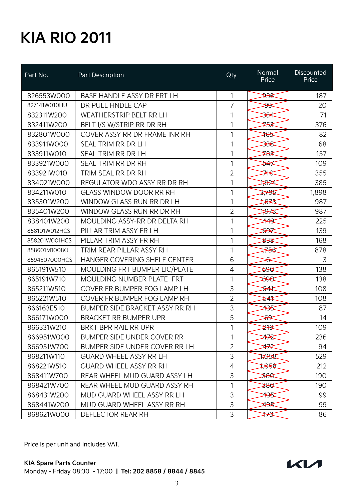| Part No.      | Part Description                  | Qty            | Normal<br>Price                                                | Discounted<br>Price |
|---------------|-----------------------------------|----------------|----------------------------------------------------------------|---------------------|
| 826553W000    | BASE HANDLE ASSY DR FRT LH        | 1              | <del>93€</del>                                                 | 187                 |
| 827141W010HU  | DR PULL HNDLE CAP                 | $\overline{7}$ | <del>३९</del>                                                  | 20                  |
| 832311W200    | WEATHERSTRIP BELT RR LH           | 1              | <del>ૐ∕</del>                                                  | 71                  |
| 832411W200    | BELT I/S W/STRIP RR DR RH         | 1              | <del>⋙</del>                                                   | 376                 |
| 832801W000    | COVER ASSY RR DR FRAME INR RH     | 1              | $\frac{1}{2}$                                                  | 82                  |
| 833911W000    | SEAL TRIM RR DR LH                | 1              | <del>338</del>                                                 | 68                  |
| 833911W010    | SEAL TRIM RR DR LH                | 1              | <del>78</del> 5                                                | 157                 |
| 833921W000    | SEAL TRIM RR DR RH                | 1              | <del>≸≮</del>                                                  | 109                 |
| 833921W010    | TRIM SEAL RR DR RH                | $\overline{2}$ | ≠₩                                                             | 355                 |
| 834021W000    | REGULATOR WDO ASSY RR DR RH       | 1              | ≫≥⊄                                                            | 385                 |
| 834211W010    | <b>GLASS WINDOW DOOR RR RH</b>    | 1              | 3795                                                           | 1,898               |
| 835301W200    | WINDOW GLASS RUN RR DR LH         | 1              | ≫⊀इ                                                            | 987                 |
| 835401W200    | WINDOW GLASS RUN RR DR RH         | 2              | ‡ <del>97</del> 3                                              | 987                 |
| 838401W200    | MOULDING ASSY-RR DR DELTA RH      | 1              | 449                                                            | 225                 |
| 858101W012HCS | PILLAR TRIM ASSY FR LH            | 1              | <del>হ9</del>                                                  | 139                 |
| 858201W001HCS | PILLAR TRIM ASSY FR RH            | 1              | क्ष्टि                                                         | 168                 |
| 858601M1008O  | TRIM REAR PILLAR ASSY RH          | 1              | 756                                                            | 878                 |
| 8594507000HCS | HANGER COVERING SHELF CENTER      | 6              | ᡩ                                                              | 3                   |
| 865191W510    | MOULDING FRT BUMPER LIC/PLATE     | 4              | 896                                                            | 138                 |
| 865191W710    | MOULDING NUMBER PLATE FRT         | 1              | क्ष्स                                                          | 138                 |
| 865211W510    | COVER FR BUMPER FOG LAMP LH       | 3              | <del>≯</del>                                                   | 108                 |
| 865221W510    | COVER FR BUMPER FOG LAMP RH       | $\overline{2}$ | <del>≯</del>                                                   | 108                 |
| 866163E510    | BUMPER SIDE BRACKET ASSY RR RH    | 3              | ≄સ્ક                                                           | 87                  |
| 866171W000    | <b>BRACKET RR BUMPER UPR</b>      | 5              | <del>89</del>                                                  | 14                  |
| 866331W210    | <b>BRKT BPR RAIL RR UPR</b>       | 1              | <del>≱∤⊈</del>                                                 | 109                 |
| 866951W000    | <b>BUMPER SIDE UNDER COVER RR</b> | 1              | ≄≉                                                             | 236                 |
| 866951W700    | BUMPER SIDE UNDER COVER RR LH     | $\overline{2}$ | ≄≉                                                             | 94                  |
| 868211W110    | <b>GUARD WHEEL ASSY RR LH</b>     | 3              | स्रिस्                                                         | 529                 |
| 868221W510    | <b>GUARD WHEEL ASSY RR RH</b>     | 4              | 1,058                                                          | 212                 |
| 868411W700    | REAR WHEEL MUD GUARD ASSY LH      | 3              | $\begin{array}{c} \textbf{38} \textbf{\texttt{C}} \end{array}$ | 190                 |
| 868421W700    | REAR WHEEL MUD GUARD ASSY RH      | 1              | <del>380</del>                                                 | 190                 |
| 868431W200    | MUD GUARD WHEEL ASSY RR LH        | 3              | ≄‱                                                             | 99                  |
| 868441W200    | MUD GUARD WHEEL ASSY RR RH        | 3              | <del>495</del>                                                 | 99                  |
| 868621W000    | DEFLECTOR REAR RH                 | 3              | ₩                                                              | 86                  |

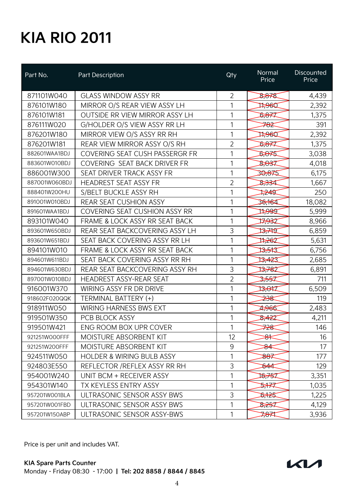| Part No.      | Part Description                      | Qty            | Normal<br>Price                                              | <b>Discounted</b><br>Price |
|---------------|---------------------------------------|----------------|--------------------------------------------------------------|----------------------------|
| 871101W040    | <b>GLASS WINDOW ASSY RR</b>           | $\overline{2}$ | 8,878                                                        | 4,439                      |
| 876101W180    | MIRROR O/S REAR VIEW ASSY LH          | 1              | 17960                                                        | 2,392                      |
| 876101W181    | OUTSIDE RR VIEW MIRROR ASSY LH        | 1              | 5,877                                                        | 1,375                      |
| 876111W020    | G/HOLDER O/S VIEW ASSY RR LH          | 1              | <del>782</del>                                               | 391                        |
| 876201W180    | MIRROR VIEW O/S ASSY RR RH            | 1              | 17960                                                        | 2,392                      |
| 876201W181    | REAR VIEW MIRROR ASSY O/S RH          | $\overline{2}$ | 5,877                                                        | 1,375                      |
| 882601WAA1BDJ | <b>COVERING SEAT CUSH PASSERGR FR</b> | 1              | 5,075                                                        | 3,038                      |
| 883601W010BDJ | COVERING SEAT BACK DRIVER FR          | 1              | 8,037                                                        | 4,018                      |
| 886001W300    | SEAT DRIVER TRACK ASSY FR             | 1              | 30,875                                                       | 6,175                      |
| 887001W060BDJ | <b>HEADREST SEAT ASSY FR</b>          | $\overline{2}$ | \$ <del>,83</del> 4                                          | 1,667                      |
| 888401W200HU  | S/BELT BUCKLE ASSY RH                 | 1              | ≵¥⊈                                                          | 250                        |
| 891001W010BDJ | REAR SEAT CUSHION ASSY                | 1              | 36,164                                                       | 18,082                     |
| 891601WAA1BDJ | <b>COVERING SEAT CUSHION ASSY RR</b>  | 1              | $\sharp\hspace{-0.1cm}\rightarrow\hspace{-0.1cm}\mathsf{ad}$ | 5,999                      |
| 893101W040    | FRAME & LOCK ASSY RR SEAT BACK        | 1              | 77932                                                        | 8,966                      |
| 893601W650BDJ | REAR SEAT BACKCOVERING ASSY LH        | 3              | 13,74T                                                       | 6,859                      |
| 893601W651BDJ | SEAT BACK COVERING ASSY RR LH         | 1              | 11,262                                                       | 5,631                      |
| 894101W010    | FRAME & LOCK ASSY RR SEAT BACK        | 1              | क्तिस                                                        | 6,756                      |
| 894601W611BDJ | SEAT BACK COVERING ASSY RR RH         | 1              | 13,423                                                       | 2,685                      |
| 894601W630BDJ | REAR SEAT BACKCOVERING ASSY RH        | 3              | 13,782                                                       | 6,891                      |
| 897001W010BDJ | <b>HEADREST ASSY-REAR SEAT</b>        | $\overline{2}$ | 3,557                                                        | 711                        |
| 916001W370    | <b>WIRING ASSY FR DR DRIVE</b>        | 1              | 13,047                                                       | 6,509                      |
| 918602F020QQK | TERMINAL BATTERY (+)                  | 1              | <del>238</del>                                               | 119                        |
| 918911W050    | <b>WIRING HARNESS BWS EXT</b>         | 1              | 2,966                                                        | 2,483                      |
| 919501W350    | PCB BLOCK ASSY                        | 1              | 8,422                                                        | 4,211                      |
| 919501W421    | ENG ROOM BOX UPR COVER                | 1              | ⋙                                                            | 146                        |
| 921251WOOOFFF | MOISTURE ABSORBENT KIT                | 12             | ₩                                                            | 16                         |
| 921251W200FFF | MOISTURE ABSORBENT KIT                | 9              | ୫≰                                                           | 17                         |
| 924511W050    | <b>HOLDER &amp; WIRING BULB ASSY</b>  | 1              | 887                                                          | 177                        |
| 924803E550    | REFLECTOR / REFLEX ASSY RR RH         | 3              | ₿44                                                          | 129                        |
| 954001W240    | UNIT BCM + RECEIVER ASSY              | 1              | 16,757                                                       | 3,351                      |
| 954301W140    | TX KEYLESS ENTRY ASSY                 | 1              | ⋝╄⋜                                                          | 1,035                      |
| 957201W001BLA | ULTRASONIC SENSOR ASSY BWS            | 3              | के रिर्                                                      | 1,225                      |
| 957201W001FBD | ULTRASONIC SENSOR ASSY BWS            | 1              | 8,257                                                        | 4,129                      |
| 957201W150ABP | ULTRASONIC SENSOR ASSY-BWS            | 1              | 7871                                                         | 3,936                      |